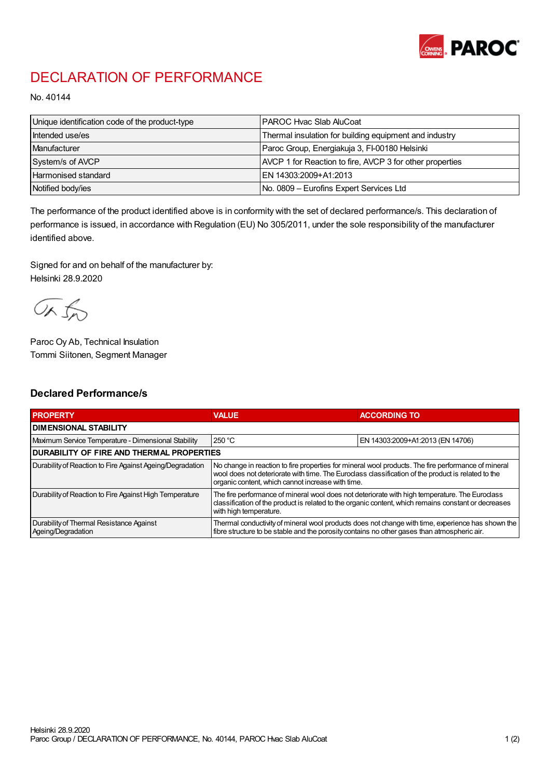

## DECLARATION OF PERFORMANCE

No. 40144

| Unique identification code of the product-type | I PAROC Hvac Slab AluCoat                                |
|------------------------------------------------|----------------------------------------------------------|
| Intended use/es                                | Thermal insulation for building equipment and industry   |
| <b>Manufacturer</b>                            | Paroc Group, Energiakuja 3, FI-00180 Helsinki            |
| System/s of AVCP                               | AVCP 1 for Reaction to fire, AVCP 3 for other properties |
| <b>Harmonised standard</b>                     | EN 14303:2009+A1:2013                                    |
| Notified body/ies                              | No. 0809 – Eurofins Expert Services Ltd                  |

The performance of the product identified above is in conformity with the set of declared performance/s. This declaration of performance is issued, in accordance with Regulation (EU) No 305/2011, under the sole responsibility of the manufacturer identified above.

Signed for and on behalf of the manufacturer by: Helsinki 28.9.2020

ORJO

Paroc Oy Ab, Technical Insulation Tommi Siitonen, Segment Manager

## Declared Performance/s

| <b>PROPERTY</b>                                                | <b>VALUE</b>                                                                                                                                                                                                                                                   | <b>ACCORDING TO</b>              |  |
|----------------------------------------------------------------|----------------------------------------------------------------------------------------------------------------------------------------------------------------------------------------------------------------------------------------------------------------|----------------------------------|--|
| <b>I DIMENSIONAL STABILITY</b>                                 |                                                                                                                                                                                                                                                                |                                  |  |
| Maximum Service Temperature - Dimensional Stability            | 250 °C                                                                                                                                                                                                                                                         | EN 14303:2009+A1:2013 (EN 14706) |  |
| <b>DURABILITY OF FIRE AND THERMAL PROPERTIES</b>               |                                                                                                                                                                                                                                                                |                                  |  |
| Durability of Reaction to Fire Against Ageing/Degradation      | No change in reaction to fire properties for mineral wool products. The fire performance of mineral<br>wool does not deteriorate with time. The Euroclass classification of the product is related to the<br>organic content, which cannot increase with time. |                                  |  |
| Durability of Reaction to Fire Against High Temperature        | The fire performance of mineral wool does not deteriorate with high temperature. The Euroclass<br>classification of the product is related to the organic content, which remains constant or decreases<br>with high temperature.                               |                                  |  |
| Durability of Thermal Resistance Against<br>Ageing/Degradation | Thermal conductivity of mineral wool products does not change with time, experience has shown the<br>fibre structure to be stable and the porosity contains no other gases than atmospheric air.                                                               |                                  |  |